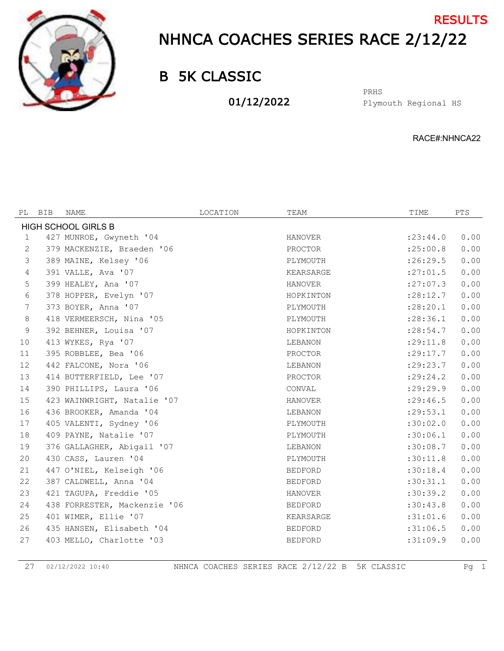

## NHNCA COACHES SERIES RACE 2/12/22 **RESULTS**

B 5K CLASSIC

01/12/2022

Plymouth Regional HS PRHS

RACE#:NHNCA22

| BIB | NAME | LOCATION                                                                                                                                                                                                                                                                                                                                                                                                                                                                                                                                                                                                                                                                                                                                                              | TEAM           | TIME       | <b>PTS</b>                                                                                                                                                                                                   |  |  |  |
|-----|------|-----------------------------------------------------------------------------------------------------------------------------------------------------------------------------------------------------------------------------------------------------------------------------------------------------------------------------------------------------------------------------------------------------------------------------------------------------------------------------------------------------------------------------------------------------------------------------------------------------------------------------------------------------------------------------------------------------------------------------------------------------------------------|----------------|------------|--------------------------------------------------------------------------------------------------------------------------------------------------------------------------------------------------------------|--|--|--|
|     |      |                                                                                                                                                                                                                                                                                                                                                                                                                                                                                                                                                                                                                                                                                                                                                                       |                |            |                                                                                                                                                                                                              |  |  |  |
|     |      |                                                                                                                                                                                                                                                                                                                                                                                                                                                                                                                                                                                                                                                                                                                                                                       | <b>HANOVER</b> | : 23: 44.0 | 0.00                                                                                                                                                                                                         |  |  |  |
|     |      |                                                                                                                                                                                                                                                                                                                                                                                                                                                                                                                                                                                                                                                                                                                                                                       | PROCTOR        | :25:00.8   | 0.00                                                                                                                                                                                                         |  |  |  |
|     |      |                                                                                                                                                                                                                                                                                                                                                                                                                                                                                                                                                                                                                                                                                                                                                                       | PLYMOUTH       | :26:29.5   | 0.00                                                                                                                                                                                                         |  |  |  |
|     |      |                                                                                                                                                                                                                                                                                                                                                                                                                                                                                                                                                                                                                                                                                                                                                                       | KEARSARGE      |            | 0.00                                                                                                                                                                                                         |  |  |  |
|     |      |                                                                                                                                                                                                                                                                                                                                                                                                                                                                                                                                                                                                                                                                                                                                                                       | <b>HANOVER</b> |            | 0.00                                                                                                                                                                                                         |  |  |  |
|     |      |                                                                                                                                                                                                                                                                                                                                                                                                                                                                                                                                                                                                                                                                                                                                                                       | HOPKINTON      |            | 0.00                                                                                                                                                                                                         |  |  |  |
|     |      |                                                                                                                                                                                                                                                                                                                                                                                                                                                                                                                                                                                                                                                                                                                                                                       | PLYMOUTH       | : 28: 20.1 | 0.00                                                                                                                                                                                                         |  |  |  |
|     |      |                                                                                                                                                                                                                                                                                                                                                                                                                                                                                                                                                                                                                                                                                                                                                                       | PLYMOUTH       |            | 0.00                                                                                                                                                                                                         |  |  |  |
|     |      |                                                                                                                                                                                                                                                                                                                                                                                                                                                                                                                                                                                                                                                                                                                                                                       | HOPKINTON      |            | 0.00                                                                                                                                                                                                         |  |  |  |
|     |      |                                                                                                                                                                                                                                                                                                                                                                                                                                                                                                                                                                                                                                                                                                                                                                       | LEBANON        | :29:11.8   | 0.00                                                                                                                                                                                                         |  |  |  |
|     |      |                                                                                                                                                                                                                                                                                                                                                                                                                                                                                                                                                                                                                                                                                                                                                                       | PROCTOR        |            | 0.00                                                                                                                                                                                                         |  |  |  |
|     |      |                                                                                                                                                                                                                                                                                                                                                                                                                                                                                                                                                                                                                                                                                                                                                                       | LEBANON        |            | 0.00                                                                                                                                                                                                         |  |  |  |
|     |      |                                                                                                                                                                                                                                                                                                                                                                                                                                                                                                                                                                                                                                                                                                                                                                       | PROCTOR        |            | 0.00                                                                                                                                                                                                         |  |  |  |
|     |      |                                                                                                                                                                                                                                                                                                                                                                                                                                                                                                                                                                                                                                                                                                                                                                       | CONVAL         |            | 0.00                                                                                                                                                                                                         |  |  |  |
|     |      |                                                                                                                                                                                                                                                                                                                                                                                                                                                                                                                                                                                                                                                                                                                                                                       | <b>HANOVER</b> |            | 0.00                                                                                                                                                                                                         |  |  |  |
|     |      |                                                                                                                                                                                                                                                                                                                                                                                                                                                                                                                                                                                                                                                                                                                                                                       | LEBANON        |            | 0.00                                                                                                                                                                                                         |  |  |  |
|     |      |                                                                                                                                                                                                                                                                                                                                                                                                                                                                                                                                                                                                                                                                                                                                                                       | PLYMOUTH       | :30:02.0   | 0.00                                                                                                                                                                                                         |  |  |  |
|     |      |                                                                                                                                                                                                                                                                                                                                                                                                                                                                                                                                                                                                                                                                                                                                                                       | PLYMOUTH       | :30:06.1   | 0.00                                                                                                                                                                                                         |  |  |  |
|     |      |                                                                                                                                                                                                                                                                                                                                                                                                                                                                                                                                                                                                                                                                                                                                                                       | LEBANON        |            | 0.00                                                                                                                                                                                                         |  |  |  |
|     |      |                                                                                                                                                                                                                                                                                                                                                                                                                                                                                                                                                                                                                                                                                                                                                                       | PLYMOUTH       |            | 0.00                                                                                                                                                                                                         |  |  |  |
|     |      |                                                                                                                                                                                                                                                                                                                                                                                                                                                                                                                                                                                                                                                                                                                                                                       | <b>BEDFORD</b> | :30:18.4   | 0.00                                                                                                                                                                                                         |  |  |  |
|     |      |                                                                                                                                                                                                                                                                                                                                                                                                                                                                                                                                                                                                                                                                                                                                                                       | <b>BEDFORD</b> | :30:31.1   | 0.00                                                                                                                                                                                                         |  |  |  |
|     |      |                                                                                                                                                                                                                                                                                                                                                                                                                                                                                                                                                                                                                                                                                                                                                                       | HANOVER        |            | 0.00                                                                                                                                                                                                         |  |  |  |
|     |      |                                                                                                                                                                                                                                                                                                                                                                                                                                                                                                                                                                                                                                                                                                                                                                       | <b>BEDFORD</b> |            | 0.00                                                                                                                                                                                                         |  |  |  |
|     |      |                                                                                                                                                                                                                                                                                                                                                                                                                                                                                                                                                                                                                                                                                                                                                                       | KEARSARGE      | :31:01.6   | 0.00                                                                                                                                                                                                         |  |  |  |
|     |      |                                                                                                                                                                                                                                                                                                                                                                                                                                                                                                                                                                                                                                                                                                                                                                       | <b>BEDFORD</b> |            | 0.00                                                                                                                                                                                                         |  |  |  |
|     |      |                                                                                                                                                                                                                                                                                                                                                                                                                                                                                                                                                                                                                                                                                                                                                                       | <b>BEDFORD</b> | :31:09.9   | 0.00                                                                                                                                                                                                         |  |  |  |
|     |      | <b>HIGH SCHOOL GIRLS B</b><br>427 MUNROE, Gwyneth '04<br>379 MACKENZIE, Braeden '06<br>389 MAINE, Kelsey '06<br>391 VALLE, Ava '07<br>399 HEALEY, Ana '07<br>378 HOPPER, Evelyn '07<br>373 BOYER, Anna '07<br>418 VERMEERSCH, Nina '05<br>392 BEHNER, Louisa '07<br>413 WYKES, Rya '07<br>395 ROBBLEE, Bea '06<br>442 FALCONE, Nora '06<br>414 BUTTERFIELD, Lee '07<br>390 PHILLIPS, Laura '06<br>423 WAINWRIGHT, Natalie '07<br>436 BROOKER, Amanda '04<br>405 VALENTI, Sydney '06<br>409 PAYNE, Natalie '07<br>376 GALLAGHER, Abigail '07<br>430 CASS, Lauren '04<br>447 O'NIEL, Kelseigh '06<br>387 CALDWELL, Anna '04<br>421 TAGUPA, Freddie '05<br>438 FORRESTER, Mackenzie '06<br>401 WIMER, Ellie '07<br>435 HANSEN, Elisabeth '04<br>403 MELLO, Charlotte '03 |                |            | :27:01.5<br>: 27:07.3<br>: 28:12.7<br>: 28:36.1<br>: 28:54.7<br>: 29: 17.7<br>: 29: 23.7<br>: 29: 24.2<br>: 29: 29.9<br>: 29: 46.5<br>: 29: 53.1<br>:30:08.7<br>:30:11.8<br>:30:39.2<br>:30:43.8<br>:31:06.5 |  |  |  |

02/12/2022 10:40 NHNCA COACHES SERIES RACE 2/12/22 B 5K CLASSIC Pg 1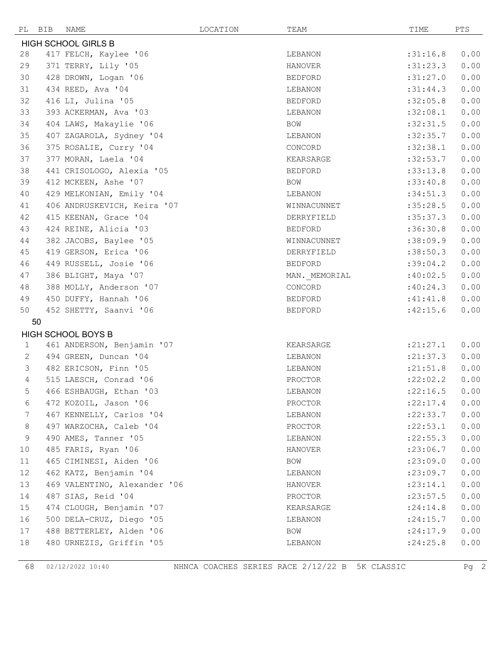| PL BIB                     | NAME                         | LOCATION | TEAM           | TIME       | PTS  |  |  |
|----------------------------|------------------------------|----------|----------------|------------|------|--|--|
| <b>HIGH SCHOOL GIRLS B</b> |                              |          |                |            |      |  |  |
| 28                         | 417 FELCH, Kaylee '06        |          | LEBANON        | :31:16.8   | 0.00 |  |  |
| 29                         | 371 TERRY, Lily '05          |          | <b>HANOVER</b> | :31:23.3   | 0.00 |  |  |
| 30                         | 428 DROWN, Logan '06         |          | <b>BEDFORD</b> | :31:27.0   | 0.00 |  |  |
| 31                         | 434 REED, Ava '04            |          | LEBANON        | :31:44.3   | 0.00 |  |  |
| 32                         | 416 LI, Julina '05           |          | <b>BEDFORD</b> | :32:05.8   | 0.00 |  |  |
| 33                         | 393 ACKERMAN, Ava '03        |          | LEBANON        | :32:08.1   | 0.00 |  |  |
| 34                         | 404 LAWS, Makaylie '06       |          | BOW            | :32:31.5   | 0.00 |  |  |
| 35                         | 407 ZAGAROLA, Sydney '04     |          | LEBANON        | :32:35.7   | 0.00 |  |  |
| 36                         | 375 ROSALIE, Curry '04       |          | CONCORD        | :32:38.1   | 0.00 |  |  |
| 37                         | 377 MORAN, Laela '04         |          | KEARSARGE      | :32:53.7   | 0.00 |  |  |
| 38                         | 441 CRISOLOGO, Alexia '05    |          | <b>BEDFORD</b> | :33:13.8   | 0.00 |  |  |
| 39                         | 412 MCKEEN, Ashe '07         |          | <b>BOW</b>     | :33:40.8   | 0.00 |  |  |
| 40                         | 429 MELKONIAN, Emily '04     |          | LEBANON        | :34:51.3   | 0.00 |  |  |
| 41                         | 406 ANDRUSKEVICH, Keira '07  |          | WINNACUNNET    | :35:28.5   | 0.00 |  |  |
| 42                         | 415 KEENAN, Grace '04        |          | DERRYFIELD     | :35:37.3   | 0.00 |  |  |
| 43                         | 424 REINE, Alicia '03        |          | <b>BEDFORD</b> | :36:30.8   | 0.00 |  |  |
| 44                         | 382 JACOBS, Baylee '05       |          | WINNACUNNET    | :38:09.9   | 0.00 |  |  |
| 45                         | 419 GERSON, Erica '06        |          | DERRYFIELD     | :38:50.3   | 0.00 |  |  |
| 46                         | 449 RUSSELL, Josie '06       |          | BEDFORD        | :39:04.2   | 0.00 |  |  |
| 47                         | 386 BLIGHT, Maya '07         |          | MAN. MEMORIAL  | :40:02.5   | 0.00 |  |  |
| 48                         | 388 MOLLY, Anderson '07      |          | CONCORD        | :40:24.3   | 0.00 |  |  |
| 49                         | 450 DUFFY, Hannah '06        |          | BEDFORD        | :41:41.8   | 0.00 |  |  |
| 50                         | 452 SHETTY, Saanvi '06       |          | BEDFORD        | :42:15.6   | 0.00 |  |  |
| 50                         |                              |          |                |            |      |  |  |
|                            | <b>HIGH SCHOOL BOYS B</b>    |          |                |            |      |  |  |
| $\mathbf{1}$               | 461 ANDERSON, Benjamin '07   |          | KEARSARGE      | : 21: 27.1 | 0.00 |  |  |
| $\mathbf{2}$               | 494 GREEN, Duncan '04        |          | LEBANON        | : 21: 37.3 | 0.00 |  |  |
| 3                          | 482 ERICSON, Finn '05        |          | LEBANON        | : 21: 51.8 | 0.00 |  |  |
| $\overline{4}$             | 515 LAESCH, Conrad '06       |          | PROCTOR        | : 22:02.2  | 0.00 |  |  |
| 5                          | 466 ESHBAUGH, Ethan '03      |          | LEBANON        | : 22:16.5  | 0.00 |  |  |
| 6                          | 472 KOZOIL, Jason '06        |          | PROCTOR        | : 22: 17.4 | 0.00 |  |  |
| 7                          | 467 KENNELLY, Carlos '04     |          | LEBANON        | : 22: 33.7 | 0.00 |  |  |
| 8                          | 497 WARZOCHA, Caleb '04      |          | PROCTOR        | :22:53.1   | 0.00 |  |  |
| $\,9$                      | 490 AMES, Tanner '05         |          | LEBANON        | : 22: 55.3 | 0.00 |  |  |
| 10                         | 485 FARIS, Ryan '06          |          | HANOVER        | : 23:06.7  | 0.00 |  |  |
| 11                         | 465 CIMINESI, Aiden '06      |          | BOW            | : 23:09.0  | 0.00 |  |  |
| 12                         | 462 KATZ, Benjamin '04       |          | LEBANON        | : 23:09.7  | 0.00 |  |  |
| 13                         | 469 VALENTINO, Alexander '06 |          | HANOVER        | : 23:14.1  | 0.00 |  |  |
| 14                         | 487 SIAS, Reid '04           |          | PROCTOR        | : 23: 57.5 | 0.00 |  |  |
| 15                         | 474 CLOUGH, Benjamin '07     |          | KEARSARGE      | : 24:14.8  | 0.00 |  |  |
| 16                         | 500 DELA-CRUZ, Diego '05     |          | LEBANON        | : 24:15.7  | 0.00 |  |  |
| 17                         | 488 BETTERLEY, Alden '06     |          | BOW            | : 24:17.9  | 0.00 |  |  |
| 18                         | 480 URNEZIS, Griffin '05     |          | LEBANON        | : 24:25.8  | 0.00 |  |  |

02/12/2022 10:40 NHNCA COACHES SERIES RACE 2/12/22 B 5K CLASSIC Pg 2